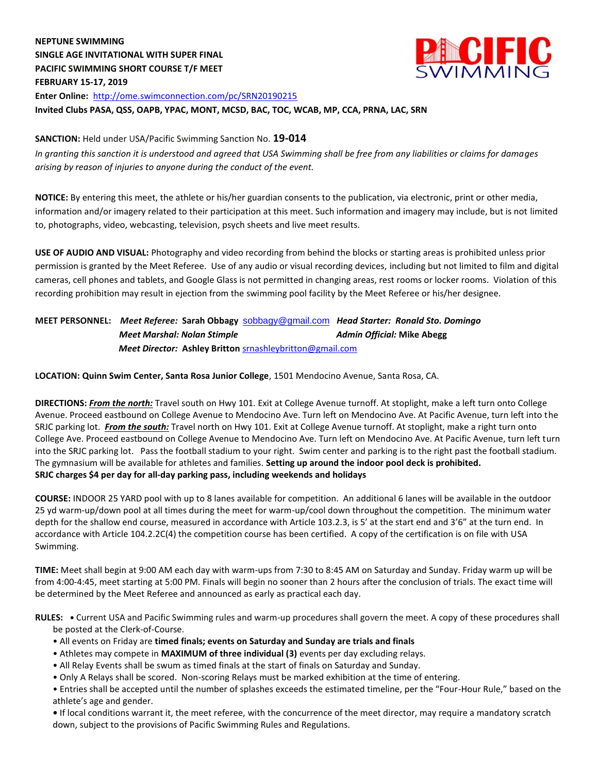# **NEPTUNE SWIMMING SINGLE AGE INVITATIONAL WITH SUPER FINAL PACIFIC SWIMMING SHORT COURSE T/F MEET FEBRUARY 15-17, 2019 Enter Online:** <http://ome.swimconnection.com/pc/SRN20190215> **Invited Clubs PASA, QSS, OAPB, YPAC, MONT, MCSD, BAC, TOC, WCAB, MP, CCA, PRNA, LAC, SRN**



*In granting this sanction it is understood and agreed that USA Swimming shall be free from any liabilities or claims for damages arising by reason of injuries to anyone during the conduct of the event.*

**NOTICE:** By entering this meet, the athlete or his/her guardian consents to the publication, via electronic, print or other media, information and/or imagery related to their participation at this meet. Such information and imagery may include, but is not limited to, photographs, video, webcasting, television, psych sheets and live meet results.

**ALCUTEC** 

**USE OF AUDIO AND VISUAL:** Photography and video recording from behind the blocks or starting areas is prohibited unless prior permission is granted by the Meet Referee. Use of any audio or visual recording devices, including but not limited to film and digital cameras, cell phones and tablets, and Google Glass is not permitted in changing areas, rest rooms or locker rooms. Violation of this recording prohibition may result in ejection from the swimming pool facility by the Meet Referee or his/her designee.

## **MEET PERSONNEL:** *Meet Referee:* **Sarah Obbagy** [sobbagy@gmail.com](mailto:sobbagy@gmail.com)*Head Starter: Ronald Sto. Domingo Meet Marshal: Nolan Stimple* **Admin Official: Mike Abegg**  *Meet Director:* **Ashley Britton** srnashleybritton@gmail.com

**LOCATION: Quinn Swim Center, Santa Rosa Junior College**, 1501 Mendocino Avenue, Santa Rosa, CA.

**DIRECTIONS:** *From the north:* Travel south on Hwy 101. Exit at College Avenue turnoff. At stoplight, make a left turn onto College Avenue. Proceed eastbound on College Avenue to Mendocino Ave. Turn left on Mendocino Ave. At Pacific Avenue, turn left into the SRJC parking lot. *From the south:* Travel north on Hwy 101. Exit at College Avenue turnoff. At stoplight, make a right turn onto College Ave. Proceed eastbound on College Avenue to Mendocino Ave. Turn left on Mendocino Ave. At Pacific Avenue, turn left turn into the SRJC parking lot. Pass the football stadium to your right. Swim center and parking is to the right past the football stadium. The gymnasium will be available for athletes and families. **Setting up around the indoor pool deck is prohibited. SRJC charges \$4 per day for all-day parking pass, including weekends and holidays**

**COURSE:** INDOOR 25 YARD pool with up to 8 lanes available for competition. An additional 6 lanes will be available in the outdoor 25 yd warm-up/down pool at all times during the meet for warm-up/cool down throughout the competition. The minimum water depth for the shallow end course, measured in accordance with Article 103.2.3, is 5' at the start end and 3'6" at the turn end. In accordance with Article 104.2.2C(4) the competition course has been certified. A copy of the certification is on file with USA Swimming.

**TIME:** Meet shall begin at 9:00 AM each day with warm-ups from 7:30 to 8:45 AM on Saturday and Sunday. Friday warm up will be from 4:00-4:45, meet starting at 5:00 PM. Finals will begin no sooner than 2 hours after the conclusion of trials. The exact time will be determined by the Meet Referee and announced as early as practical each day.

**RULES: •** Current USA and Pacific Swimming rules and warm-up procedures shall govern the meet. A copy of these procedures shall be posted at the Clerk-of-Course.

- All events on Friday are **timed finals; events on Saturday and Sunday are trials and finals**
- Athletes may compete in **MAXIMUM of three individual (3)** events per day excluding relays.
- All Relay Events shall be swum as timed finals at the start of finals on Saturday and Sunday.
- Only A Relays shall be scored. Non-scoring Relays must be marked exhibition at the time of entering.

• Entries shall be accepted until the number of splashes exceeds the estimated timeline, per the "Four-Hour Rule," based on the athlete's age and gender.

**•** If local conditions warrant it, the meet referee, with the concurrence of the meet director, may require a mandatory scratch down, subject to the provisions of Pacific Swimming Rules and Regulations.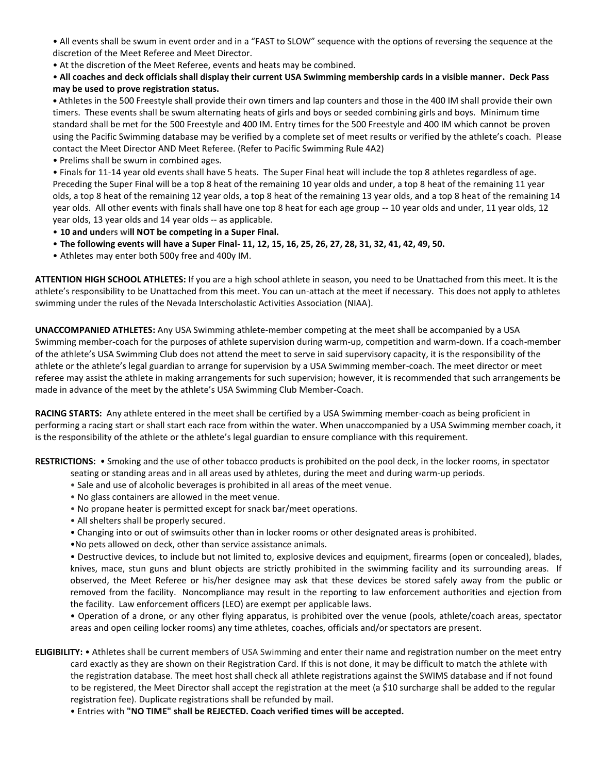• All events shall be swum in event order and in a "FAST to SLOW" sequence with the options of reversing the sequence at the discretion of the Meet Referee and Meet Director.

• At the discretion of the Meet Referee, events and heats may be combined.

## • **All coaches and deck officials shall display their current USA Swimming membership cards in a visible manner. Deck Pass may be used to prove registration status.**

**•** Athletes in the 500 Freestyle shall provide their own timers and lap counters and those in the 400 IM shall provide their own timers. These events shall be swum alternating heats of girls and boys or seeded combining girls and boys. Minimum time standard shall be met for the 500 Freestyle and 400 IM. Entry times for the 500 Freestyle and 400 IM which cannot be proven using the Pacific Swimming database may be verified by a complete set of meet results or verified by the athlete's coach. Please contact the Meet Director AND Meet Referee. (Refer to Pacific Swimming Rule 4A2)

• Prelims shall be swum in combined ages.

• Finals for 11-14 year old events shall have 5 heats. The Super Final heat will include the top 8 athletes regardless of age. Preceding the Super Final will be a top 8 heat of the remaining 10 year olds and under, a top 8 heat of the remaining 11 year olds, a top 8 heat of the remaining 12 year olds, a top 8 heat of the remaining 13 year olds, and a top 8 heat of the remaining 14 year olds. All other events with finals shall have one top 8 heat for each age group -- 10 year olds and under, 11 year olds, 12 year olds, 13 year olds and 14 year olds -- as applicable.

• **10 and unders will NOT be competing in a Super Final.**

- **The following events will have a Super Final- 11, 12, 15, 16, 25, 26, 27, 28, 31, 32, 41, 42, 49, 50.**
- Athletes may enter both 500y free and 400y IM.

**ATTENTION HIGH SCHOOL ATHLETES:** If you are a high school athlete in season, you need to be Unattached from this meet. It is the athlete's responsibility to be Unattached from this meet. You can un-attach at the meet if necessary. This does not apply to athletes swimming under the rules of the Nevada Interscholastic Activities Association (NIAA).

**UNACCOMPANIED ATHLETES:** Any USA Swimming athlete-member competing at the meet shall be accompanied by a USA Swimming member-coach for the purposes of athlete supervision during warm-up, competition and warm-down. If a coach-member of the athlete's USA Swimming Club does not attend the meet to serve in said supervisory capacity, it is the responsibility of the athlete or the athlete's legal guardian to arrange for supervision by a USA Swimming member-coach. The meet director or meet referee may assist the athlete in making arrangements for such supervision; however, it is recommended that such arrangements be made in advance of the meet by the athlete's USA Swimming Club Member-Coach.

**RACING STARTS:** Any athlete entered in the meet shall be certified by a USA Swimming member-coach as being proficient in performing a racing start or shall start each race from within the water. When unaccompanied by a USA Swimming member coach, it is the responsibility of the athlete or the athlete's legal guardian to ensure compliance with this requirement.

**RESTRICTIONS:** • Smoking and the use of other tobacco products is prohibited on the pool deck, in the locker rooms, in spectator

seating or standing areas and in all areas used by athletes, during the meet and during warm-up periods.

- Sale and use of alcoholic beverages is prohibited in all areas of the meet venue.
- No glass containers are allowed in the meet venue.
- No propane heater is permitted except for snack bar/meet operations.
- All shelters shall be properly secured.
- Changing into or out of swimsuits other than in locker rooms or other designated areas is prohibited.
- •No pets allowed on deck, other than service assistance animals.

• Destructive devices, to include but not limited to, explosive devices and equipment, firearms (open or concealed), blades, knives, mace, stun guns and blunt objects are strictly prohibited in the swimming facility and its surrounding areas. If observed, the Meet Referee or his/her designee may ask that these devices be stored safely away from the public or removed from the facility. Noncompliance may result in the reporting to law enforcement authorities and ejection from the facility. Law enforcement officers (LEO) are exempt per applicable laws.

• Operation of a drone, or any other flying apparatus, is prohibited over the venue (pools, athlete/coach areas, spectator areas and open ceiling locker rooms) any time athletes, coaches, officials and/or spectators are present.

- **ELIGIBILITY:** Athletes shall be current members of USA Swimming and enter their name and registration number on the meet entry card exactly as they are shown on their Registration Card. If this is not done, it may be difficult to match the athlete with the registration database. The meet host shall check all athlete registrations against the SWIMS database and if not found to be registered, the Meet Director shall accept the registration at the meet (a \$10 surcharge shall be added to the regular registration fee). Duplicate registrations shall be refunded by mail.
	- Entries with **"NO TIME" shall be REJECTED. Coach verified times will be accepted.**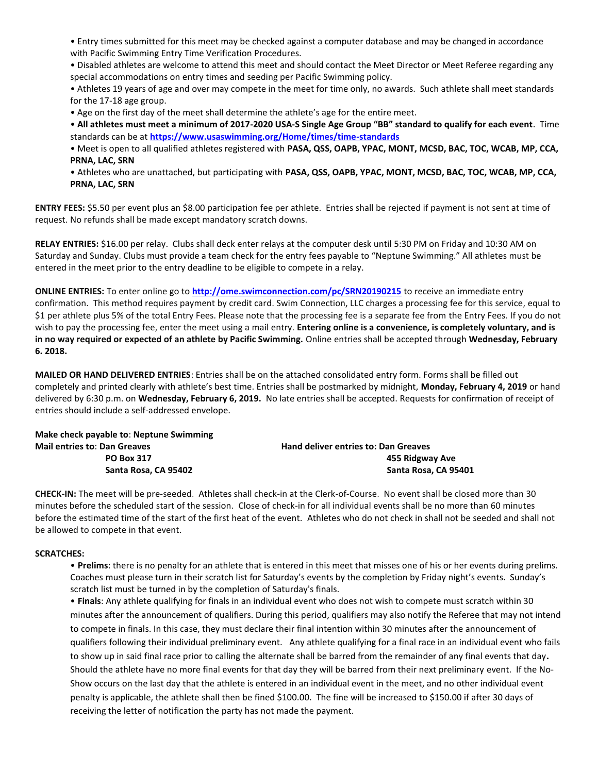• Entry times submitted for this meet may be checked against a computer database and may be changed in accordance with Pacific Swimming Entry Time Verification Procedures.

• Disabled athletes are welcome to attend this meet and should contact the Meet Director or Meet Referee regarding any special accommodations on entry times and seeding per Pacific Swimming policy.

• Athletes 19 years of age and over may compete in the meet for time only, no awards. Such athlete shall meet standards for the 17-18 age group.

• Age on the first day of the meet shall determine the athlete's age for the entire meet.

• **All athletes must meet a minimum of 2017-2020 USA-S Single Age Group "BB" standard to qualify for each event**. Time standards can be a[t](https://www.usaswimming.org/Home/times/time-standards) **<https://www.usaswimming.org/Home/times/time-standards>**

• Meet is open to all qualified athletes registered with **PASA, QSS, OAPB, YPAC, MONT, MCSD, BAC, TOC, WCAB, MP, CCA, PRNA, LAC, SRN**

• Athletes who are unattached, but participating with **PASA, QSS, OAPB, YPAC, MONT, MCSD, BAC, TOC, WCAB, MP, CCA, PRNA, LAC, SRN**

**ENTRY FEES:** \$5.50 per event plus an \$8.00 participation fee per athlete. Entries shall be rejected if payment is not sent at time of request. No refunds shall be made except mandatory scratch downs.

**RELAY ENTRIES:** \$16.00 per relay. Clubs shall deck enter relays at the computer desk until 5:30 PM on Friday and 10:30 AM on Saturday and Sunday. Clubs must provide a team check for the entry fees payable to "Neptune Swimming." All athletes must be entered in the meet prior to the entry deadline to be eligible to compete in a relay.

**ONLINE ENTRIES:** To enter online go to **http://ome.swimconnection.com/pc/SRN20190215** to receive an immediate entry confirmation. This method requires payment by credit card. Swim Connection, LLC charges a processing fee for this service, equal to \$1 per athlete plus 5% of the total Entry Fees. Please note that the processing fee is a separate fee from the Entry Fees. If you do not wish to pay the processing fee, enter the meet using a mail entry. **Entering online is a convenience, is completely voluntary, and is in no way required or expected of an athlete by Pacific Swimming.** Online entries shall be accepted through **Wednesday, February 6. 2018.**

**MAILED OR HAND DELIVERED ENTRIES**: Entries shall be on the attached consolidated entry form. Forms shall be filled out completely and printed clearly with athlete's best time. Entries shall be postmarked by midnight, **Monday, February 4, 2019** or hand delivered by 6:30 p.m. on **Wednesday, February 6, 2019.** No late entries shall be accepted. Requests for confirmation of receipt of entries should include a self-addressed envelope.

| Make check payable to: Neptune Swimming |                                             |
|-----------------------------------------|---------------------------------------------|
| <b>Mail entries to: Dan Greaves</b>     | <b>Hand deliver entries to: Dan Greaves</b> |
| <b>PO Box 317</b>                       | 455 Ridgway Ave                             |
| Santa Rosa, CA 95402                    | Santa Rosa, CA 95401                        |

**CHECK-IN:** The meet will be pre-seeded. Athletes shall check-in at the Clerk-of-Course. No event shall be closed more than 30 minutes before the scheduled start of the session. Close of check-in for all individual events shall be no more than 60 minutes before the estimated time of the start of the first heat of the event. Athletes who do not check in shall not be seeded and shall not be allowed to compete in that event.

#### **SCRATCHES:**

• **Prelims**: there is no penalty for an athlete that is entered in this meet that misses one of his or her events during prelims. Coaches must please turn in their scratch list for Saturday's events by the completion by Friday night's events. Sunday's scratch list must be turned in by the completion of Saturday's finals.

• **Finals**: Any athlete qualifying for finals in an individual event who does not wish to compete must scratch within 30 minutes after the announcement of qualifiers. During this period, qualifiers may also notify the Referee that may not intend to compete in finals. In this case, they must declare their final intention within 30 minutes after the announcement of qualifiers following their individual preliminary event. Any athlete qualifying for a final race in an individual event who fails to show up in said final race prior to calling the alternate shall be barred from the remainder of any final events that day**.**  Should the athlete have no more final events for that day they will be barred from their next preliminary event. If the No-Show occurs on the last day that the athlete is entered in an individual event in the meet, and no other individual event penalty is applicable, the athlete shall then be fined \$100.00. The fine will be increased to \$150.00 if after 30 days of receiving the letter of notification the party has not made the payment.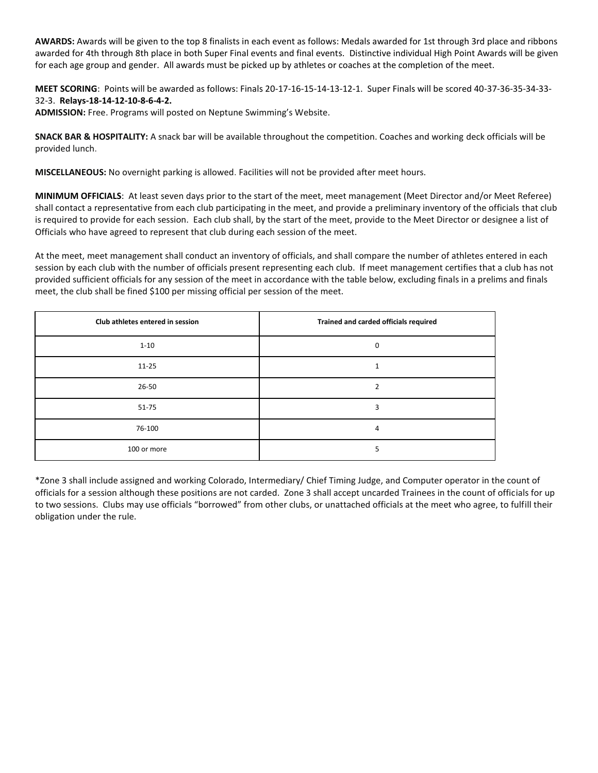**AWARDS:** Awards will be given to the top 8 finalists in each event as follows: Medals awarded for 1st through 3rd place and ribbons awarded for 4th through 8th place in both Super Final events and final events. Distinctive individual High Point Awards will be given for each age group and gender. All awards must be picked up by athletes or coaches at the completion of the meet.

**MEET SCORING**: Points will be awarded as follows: Finals 20-17-16-15-14-13-12-1. Super Finals will be scored 40-37-36-35-34-33- 32-3. **Relays-18-14-12-10-8-6-4-2.**

**ADMISSION:** Free. Programs will posted on Neptune Swimming's Website.

**SNACK BAR & HOSPITALITY:** A snack bar will be available throughout the competition. Coaches and working deck officials will be provided lunch.

**MISCELLANEOUS:** No overnight parking is allowed. Facilities will not be provided after meet hours.

**MINIMUM OFFICIALS**: At least seven days prior to the start of the meet, meet management (Meet Director and/or Meet Referee) shall contact a representative from each club participating in the meet, and provide a preliminary inventory of the officials that club is required to provide for each session. Each club shall, by the start of the meet, provide to the Meet Director or designee a list of Officials who have agreed to represent that club during each session of the meet.

At the meet, meet management shall conduct an inventory of officials, and shall compare the number of athletes entered in each session by each club with the number of officials present representing each club. If meet management certifies that a club has not provided sufficient officials for any session of the meet in accordance with the table below, excluding finals in a prelims and finals meet, the club shall be fined \$100 per missing official per session of the meet.

| Club athletes entered in session | Trained and carded officials required |
|----------------------------------|---------------------------------------|
| $1 - 10$                         | 0                                     |
| $11 - 25$                        |                                       |
| 26-50                            | ີ                                     |
| $51 - 75$                        | 3                                     |
| 76-100                           | 4                                     |
| 100 or more                      |                                       |

\*Zone 3 shall include assigned and working Colorado, Intermediary/ Chief Timing Judge, and Computer operator in the count of officials for a session although these positions are not carded. Zone 3 shall accept uncarded Trainees in the count of officials for up to two sessions. Clubs may use officials "borrowed" from other clubs, or unattached officials at the meet who agree, to fulfill their obligation under the rule.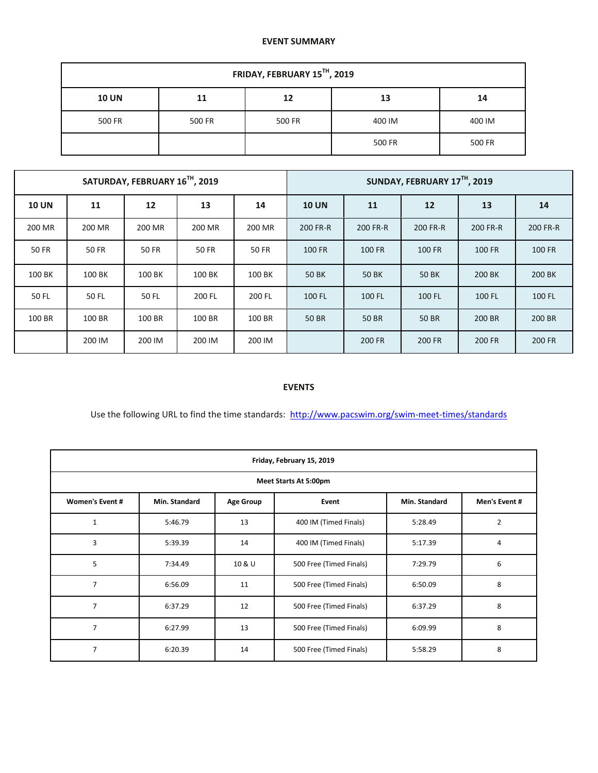#### **EVENT SUMMARY**

| FRIDAY, FEBRUARY 15TH, 2019 |        |        |        |        |  |  |  |  |  |
|-----------------------------|--------|--------|--------|--------|--|--|--|--|--|
| <b>10 UN</b>                | 11     | 13     | 14     |        |  |  |  |  |  |
| 500 FR                      | 500 FR | 500 FR | 400 IM | 400 IM |  |  |  |  |  |
|                             |        |        | 500 FR | 500 FR |  |  |  |  |  |

|              |              | SATURDAY, FEBRUARY 16TH, 2019 |        |              |              |              | SUNDAY, FEBRUARY 17TH, 2019 |          |          |
|--------------|--------------|-------------------------------|--------|--------------|--------------|--------------|-----------------------------|----------|----------|
| <b>10 UN</b> | 11           | 12                            | 13     | 14           |              | 11           | 12                          | 13       | 14       |
| 200 MR       | 200 MR       | 200 MR                        | 200 MR | 200 MR       | 200 FR-R     | 200 FR-R     | 200 FR-R                    | 200 FR-R | 200 FR-R |
| 50 FR        | <b>50 FR</b> | 50 FR                         | 50 FR  | <b>50 FR</b> | 100 FR       | 100 FR       | 100 FR                      | 100 FR   | 100 FR   |
| 100 BK       | 100 BK       | 100 BK                        | 100 BK | 100 BK       | <b>50 BK</b> | <b>50 BK</b> | <b>50 BK</b>                | 200 BK   | 200 BK   |
| 50 FL        | 50 FL        | 50 FL                         | 200 FL | 200 FL       | 100 FL       | 100 FL       | 100 FL                      | 100 FL   | 100 FL   |
| 100 BR       | 100 BR       | 100 BR                        | 100 BR | 100 BR       | <b>50 BR</b> | 50 BR        | 50 BR                       | 200 BR   | 200 BR   |
|              | 200 IM       | 200 IM                        | 200 IM | 200 IM       |              | 200 FR       | <b>200 FR</b>               | 200 FR   | 200 FR   |

## **EVENTS**

Use the following URL to find the time standards: <http://www.pacswim.org/swim-meet-times/standards>

|                       | Friday, February 15, 2019 |                               |                         |         |                |  |  |  |  |  |  |
|-----------------------|---------------------------|-------------------------------|-------------------------|---------|----------------|--|--|--|--|--|--|
| Meet Starts At 5:00pm |                           |                               |                         |         |                |  |  |  |  |  |  |
| Women's Event #       | Min. Standard             | Min. Standard                 | Men's Event #           |         |                |  |  |  |  |  |  |
| $\mathbf{1}$          | 5:46.79                   | 13                            | 400 IM (Timed Finals)   | 5:28.49 | $\overline{2}$ |  |  |  |  |  |  |
| 3                     | 5:39.39                   | 14                            | 400 IM (Timed Finals)   | 5:17.39 | 4              |  |  |  |  |  |  |
| 5                     | 7:34.49                   | 10 & U                        | 500 Free (Timed Finals) | 7:29.79 | 6              |  |  |  |  |  |  |
| $\overline{7}$        | 6:56.09                   | 500 Free (Timed Finals)<br>11 |                         | 6:50.09 | 8              |  |  |  |  |  |  |
| 7                     | 6:37.29                   | 12                            | 500 Free (Timed Finals) | 6:37.29 | 8              |  |  |  |  |  |  |
| $\overline{7}$        | 6:27.99                   | 13                            | 500 Free (Timed Finals) | 6:09.99 | 8              |  |  |  |  |  |  |
| $\overline{7}$        | 6:20.39                   | 14                            | 500 Free (Timed Finals) | 5:58.29 | 8              |  |  |  |  |  |  |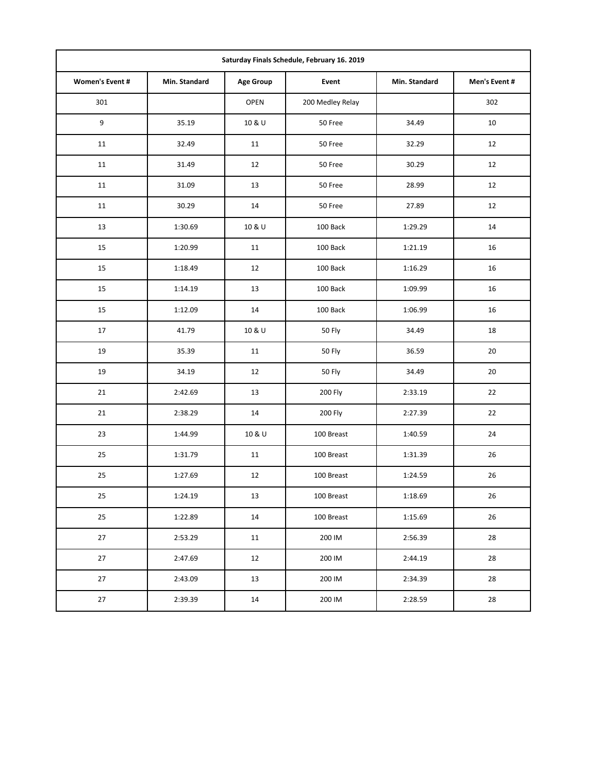| Saturday Finals Schedule, February 16. 2019 |               |                  |                  |               |               |  |  |  |  |  |
|---------------------------------------------|---------------|------------------|------------------|---------------|---------------|--|--|--|--|--|
| Women's Event #                             | Min. Standard | <b>Age Group</b> | Event            | Min. Standard | Men's Event # |  |  |  |  |  |
| 301                                         |               | <b>OPEN</b>      | 200 Medley Relay |               | 302           |  |  |  |  |  |
| $\boldsymbol{9}$                            | 35.19         | 10 & U           | 50 Free          | 34.49         | 10            |  |  |  |  |  |
| 11                                          | 32.49         | 11               | 50 Free          | 32.29         | 12            |  |  |  |  |  |
| 11                                          | 31.49         | 12               | 50 Free          | 30.29         | 12            |  |  |  |  |  |
| 11                                          | 31.09         | 13               | 50 Free          | 28.99         | 12            |  |  |  |  |  |
| 11                                          | 30.29         | 14               | 50 Free          | 27.89         | 12            |  |  |  |  |  |
| 13                                          | 1:30.69       | 10 & U           | 100 Back         | 1:29.29       | 14            |  |  |  |  |  |
| 15                                          | 1:20.99       | 11               | 100 Back         | 1:21.19       | 16            |  |  |  |  |  |
| 15                                          | 1:18.49       | 12               | 100 Back         | 1:16.29       | 16            |  |  |  |  |  |
| 15                                          | 1:14.19       | 13               | 100 Back         | 1:09.99       | 16            |  |  |  |  |  |
| 15                                          | 1:12.09       | 14               | 100 Back         | 1:06.99       | 16            |  |  |  |  |  |
| 17                                          | 41.79         | 10 & U           | 50 Fly           | 34.49         | 18            |  |  |  |  |  |
| 19                                          | 35.39         | 11               | <b>50 Fly</b>    | 36.59         | 20            |  |  |  |  |  |
| 19                                          | 34.19         | 12               | <b>50 Fly</b>    | 34.49         | 20            |  |  |  |  |  |
| 21                                          | 2:42.69       | 13               | 200 Fly          | 2:33.19       | 22            |  |  |  |  |  |
| 21                                          | 2:38.29       | 14               | 200 Fly          | 2:27.39       | 22            |  |  |  |  |  |
| 23                                          | 1:44.99       | 10 & U           | 100 Breast       | 1:40.59       | 24            |  |  |  |  |  |
| 25                                          | 1:31.79       | 11               | 100 Breast       | 1:31.39       | 26            |  |  |  |  |  |
| 25                                          | 1:27.69       | 12               | 100 Breast       | 1:24.59       | 26            |  |  |  |  |  |
| $25\,$                                      | 1:24.19       | 13               | 100 Breast       | 1:18.69       | 26            |  |  |  |  |  |
| 25                                          | 1:22.89       | $14\,$           | 100 Breast       | 1:15.69       | 26            |  |  |  |  |  |
| 27                                          | 2:53.29       | 11               | 200 IM           | 2:56.39       | 28            |  |  |  |  |  |
| 27                                          | 2:47.69       | 12               | 200 IM           | 2:44.19       | 28            |  |  |  |  |  |
| 27                                          | 2:43.09       | 13               | 200 IM           | 2:34.39       | 28            |  |  |  |  |  |
| $27\,$                                      | 2:39.39       | $14\,$           | 200 IM           | 2:28.59       | 28            |  |  |  |  |  |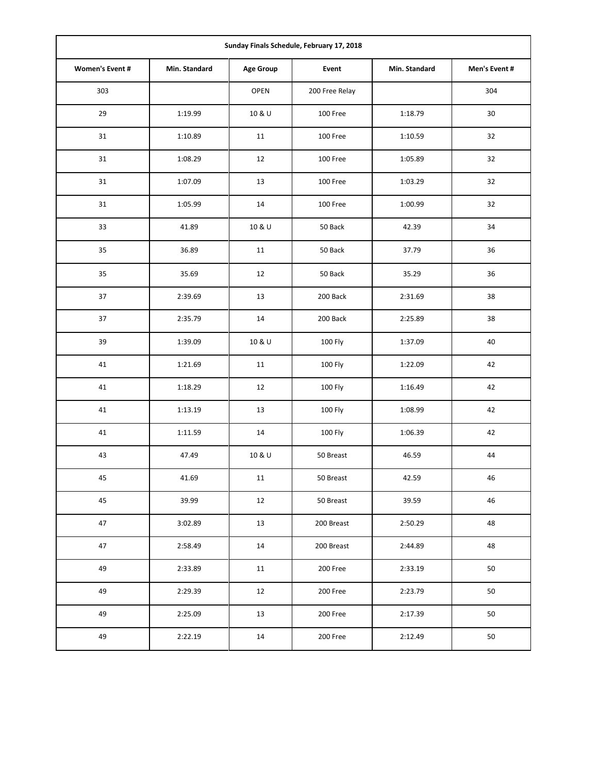| Sunday Finals Schedule, February 17, 2018 |               |                  |                |               |               |  |  |  |  |
|-------------------------------------------|---------------|------------------|----------------|---------------|---------------|--|--|--|--|
| Women's Event #                           | Min. Standard | <b>Age Group</b> | Event          | Min. Standard | Men's Event # |  |  |  |  |
| 303                                       |               | OPEN             | 200 Free Relay |               | 304           |  |  |  |  |
| 29                                        | 1:19.99       | 10 & U           | 100 Free       | 1:18.79       | 30            |  |  |  |  |
| 31                                        | 1:10.89       | 11               | 100 Free       | 1:10.59       | 32            |  |  |  |  |
| 31                                        | 1:08.29       | 12               | 100 Free       | 1:05.89       | 32            |  |  |  |  |
| 31                                        | 1:07.09       | 13               | 100 Free       | 1:03.29       | 32            |  |  |  |  |
| 31                                        | 1:05.99       | 14               | 100 Free       | 1:00.99       | 32            |  |  |  |  |
| 33                                        | 41.89         | 10 & U           | 50 Back        | 42.39         | 34            |  |  |  |  |
| 35                                        | 36.89         | 11               | 50 Back        | 37.79         | 36            |  |  |  |  |
| 35                                        | 35.69         | 12               | 50 Back        | 35.29         | 36            |  |  |  |  |
| 37                                        | 2:39.69       | 13               | 200 Back       | 2:31.69       | 38            |  |  |  |  |
| 37                                        | 2:35.79       | 14               | 200 Back       | 2:25.89       | 38            |  |  |  |  |
| 39                                        | 1:39.09       | 10 & U           | 100 Fly        | 1:37.09       | 40            |  |  |  |  |
| 41                                        | 1:21.69       | 11               | 100 Fly        | 1:22.09       | 42            |  |  |  |  |
| 41                                        | 1:18.29       | 12               | 100 Fly        | 1:16.49       | 42            |  |  |  |  |
| 41                                        | 1:13.19       | 13               | 100 Fly        | 1:08.99       | 42            |  |  |  |  |
| 41                                        | 1:11.59       | 14               | 100 Fly        | 1:06.39       | 42            |  |  |  |  |
| 43                                        | 47.49         | 10 & U           | 50 Breast      | 46.59         | 44            |  |  |  |  |
| 45                                        | 41.69         | 11               | 50 Breast      | 42.59         | 46            |  |  |  |  |
| 45                                        | 39.99         | 12               | 50 Breast      | 39.59         | 46            |  |  |  |  |
| 47                                        | 3:02.89       | 13               | 200 Breast     | 2:50.29       | 48            |  |  |  |  |
| 47                                        | 2:58.49       | 14               | 200 Breast     | 2:44.89       | 48            |  |  |  |  |
| 49                                        | 2:33.89       | 11               | 200 Free       | 2:33.19       | 50            |  |  |  |  |
| 49                                        | 2:29.39       | 12               | 200 Free       | 2:23.79       | 50            |  |  |  |  |
| 49                                        | 2:25.09       | 13               | 200 Free       | 2:17.39       | 50            |  |  |  |  |
| 49                                        | 2:22.19       | 14               | 200 Free       | 2:12.49       | 50            |  |  |  |  |